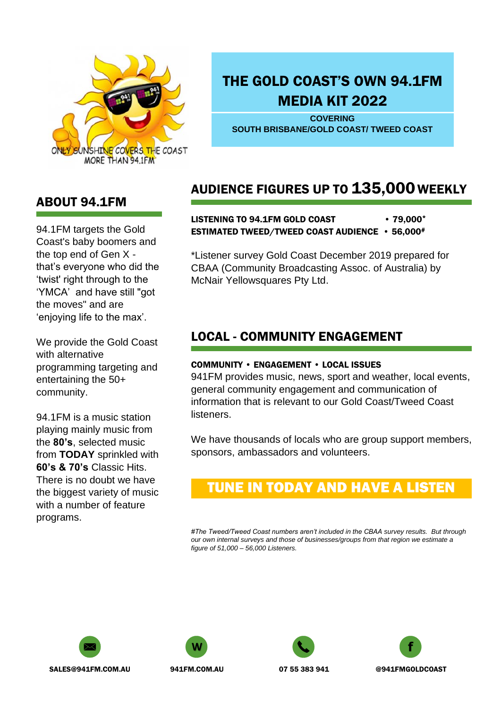

# THE GOLD COAST'S OWN 94.1FM MEDIA KIT 2022

**COVERING SOUTH BRISBANE/GOLD COAST/ TWEED COAST**

# AUDIENCE FIGURES UP TO 135,000 WEEKLY

#### LISTENING TO 94.1FM GOLD COAST • 79.000\* ESTIMATED TWEED/TWEED COAST AUDIENCE • 56,000#

\*Listener survey Gold Coast December 2019 prepared for CBAA (Community Broadcasting Assoc. of Australia) by McNair Yellowsquares Pty Ltd.

## LOCAL - COMMUNITY ENGAGEMENT

#### COMMUNITY • ENGAGEMENT • LOCAL ISSUES

941FM provides music, news, sport and weather, local events, general community engagement and communication of information that is relevant to our Gold Coast/Tweed Coast listeners.

We have thousands of locals who are group support members, sponsors, ambassadors and volunteers.

# TUNE IN TODAY AND HAVE A LISTEN

*#The Tweed/Tweed Coast numbers aren't included in the CBAA survey results. But through our own internal surveys and those of businesses/groups from that region we estimate a figure of 51,000 – 56,000 Listeners.*









ABOUT 94.1FM

94.1FM targets the Gold Coast's baby boomers and the top end of Gen X that's everyone who did the 'twist' right through to the 'YMCA' and have still "got the moves" and are 'enjoying life to the max'.

We provide the Gold Coast with alternative programming targeting and entertaining the 50+ community.

94.1FM is a music station playing mainly music from the **80's**, selected music from **TODAY** sprinkled with **60's & 70's** Classic Hits. There is no doubt we have the biggest variety of music with a number of feature programs.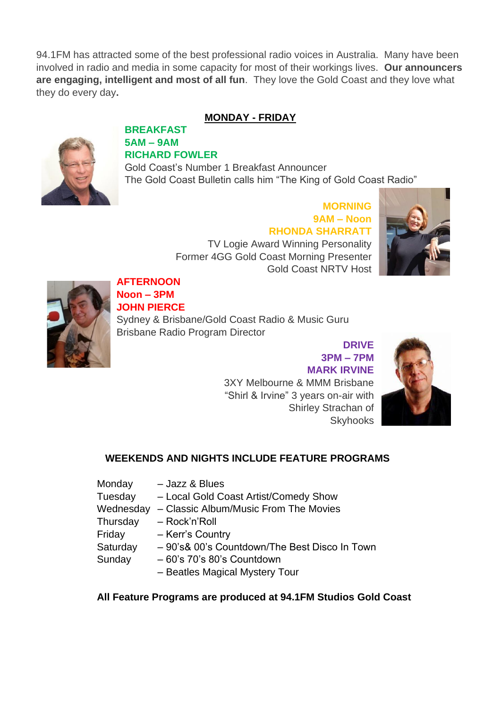94.1FM has attracted some of the best professional radio voices in Australia. Many have been involved in radio and media in some capacity for most of their workings lives. **Our announcers are engaging, intelligent and most of all fun**. They love the Gold Coast and they love what they do every day**.**

### **MONDAY - FRIDAY**



#### **BREAKFAST 5AM – 9AM RICHARD FOWLER**

Gold Coast's Number 1 Breakfast Announcer The Gold Coast Bulletin calls him "The King of Gold Coast Radio"

## **MORNING 9AM – Noon RHONDA SHARRATT**

TV Logie Award Winning Personality Former 4GG Gold Coast Morning Presenter Gold Coast NRTV Host





#### **AFTERNOON Noon – 3PM JOHN PIERCE**

Sydney & Brisbane/Gold Coast Radio & Music Guru Brisbane Radio Program Director

> **DRIVE 3PM – 7PM MARK IRVINE** 3XY Melbourne & MMM Brisbane "Shirl & Irvine" 3 years on-air with Shirley Strachan of **Skyhooks**



### **WEEKENDS AND NIGHTS INCLUDE FEATURE PROGRAMS**

- Monday Jazz & Blues Tuesday – Local Gold Coast Artist/Comedy Show Wednesday – Classic Album/Music From The Movies Thursday – Rock'n'Roll Friday – Kerr's Country Saturday – 90's& 00's Countdown/The Best Disco In Town Sunday – 60's 70's 80's Countdown
	- Beatles Magical Mystery Tour

#### **All Feature Programs are produced at 94.1FM Studios Gold Coast**